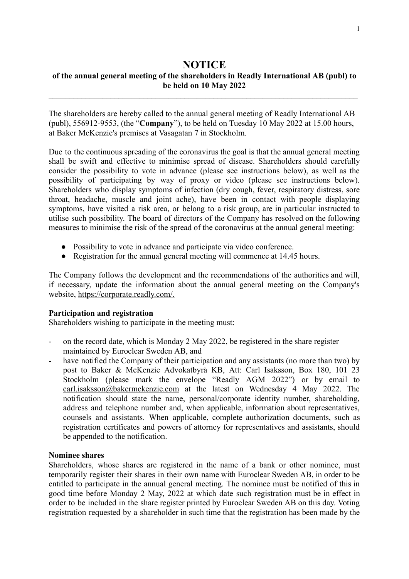# **NOTICE of the annual general meeting of the shareholders in Readly International AB (publ) to be held on 10 May 2022**

 $\mathcal{L}_\text{max}$  , and the contribution of the contribution of the contribution of the contribution of the contribution of the contribution of the contribution of the contribution of the contribution of the contribution of t

The shareholders are hereby called to the annual general meeting of Readly International AB (publ), 556912-9553, (the "**Company**"), to be held on Tuesday 10 May 2022 at 15.00 hours, at Baker McKenzie's premises at Vasagatan 7 in Stockholm.

Due to the continuous spreading of the coronavirus the goal is that the annual general meeting shall be swift and effective to minimise spread of disease. Shareholders should carefully consider the possibility to vote in advance (please see instructions below), as well as the possibility of participating by way of proxy or video (please see instructions below). Shareholders who display symptoms of infection (dry cough, fever, respiratory distress, sore throat, headache, muscle and joint ache), have been in contact with people displaying symptoms, have visited a risk area, or belong to a risk group, are in particular instructed to utilise such possibility. The board of directors of the Company has resolved on the following measures to minimise the risk of the spread of the coronavirus at the annual general meeting:

- Possibility to vote in advance and participate via video conference.
- Registration for the annual general meeting will commence at 14.45 hours.

The Company follows the development and the recommendations of the authorities and will, if necessary, update the information about the annual general meeting on the Company's website, [https://corporate.readly.com/.](https://corporate.readly.com/)

### **Participation and registration**

Shareholders wishing to participate in the meeting must:

- on the record date, which is Monday 2 May 2022, be registered in the share register maintained by Euroclear Sweden AB, and
- have notified the Company of their participation and any assistants (no more than two) by post to Baker & McKenzie Advokatbyrå KB, Att: Carl Isaksson, Box 180, 101 23 Stockholm (please mark the envelope "Readly AGM 2022") or by email to [carl.isaksson@bakermckenzie.com](mailto:carl.isaksson@bakermckenzie.com) at the latest on Wednesday 4 May 2022. The notification should state the name, personal/corporate identity number, shareholding, address and telephone number and, when applicable, information about representatives, counsels and assistants. When applicable, complete authorization documents, such as registration certificates and powers of attorney for representatives and assistants, should be appended to the notification.

#### **Nominee shares**

Shareholders, whose shares are registered in the name of a bank or other nominee, must temporarily register their shares in their own name with Euroclear Sweden AB, in order to be entitled to participate in the annual general meeting. The nominee must be notified of this in good time before Monday 2 May, 2022 at which date such registration must be in effect in order to be included in the share register printed by Euroclear Sweden AB on this day. Voting registration requested by a shareholder in such time that the registration has been made by the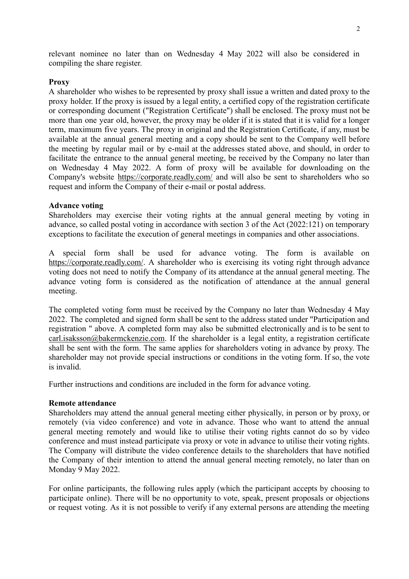relevant nominee no later than on Wednesday 4 May 2022 will also be considered in compiling the share register.

### **Proxy**

A shareholder who wishes to be represented by proxy shall issue a written and dated proxy to the proxy holder. If the proxy is issued by a legal entity, a certified copy of the registration certificate or corresponding document ("Registration Certificate") shall be enclosed. The proxy must not be more than one year old, however, the proxy may be older if it is stated that it is valid for a longer term, maximum five years. The proxy in original and the Registration Certificate, if any, must be available at the annual general meeting and a copy should be sent to the Company well before the meeting by regular mail or by e-mail at the addresses stated above, and should, in order to facilitate the entrance to the annual general meeting, be received by the Company no later than on Wednesday 4 May 2022. A form of proxy will be available for downloading on the Company's website <https://corporate.readly.com/> and will also be sent to shareholders who so request and inform the Company of their e-mail or postal address.

### **Advance voting**

Shareholders may exercise their voting rights at the annual general meeting by voting in advance, so called postal voting in accordance with section 3 of the Act (2022:121) on temporary exceptions to facilitate the execution of general meetings in companies and other associations.

A special form shall be used for advance voting. The form is available on [https://corporate.readly.com/.](https://corporate.readly.com/) A shareholder who is exercising its voting right through advance voting does not need to notify the Company of its attendance at the annual general meeting. The advance voting form is considered as the notification of attendance at the annual general meeting.

The completed voting form must be received by the Company no later than Wednesday 4 May 2022. The completed and signed form shall be sent to the address stated under "Participation and registration " above. A completed form may also be submitted electronically and is to be sent to [carl.isaksson@bakermckenzie.com](mailto:carl.isaksson@bakermckenzie.com). If the shareholder is a legal entity, a registration certificate shall be sent with the form. The same applies for shareholders voting in advance by proxy. The shareholder may not provide special instructions or conditions in the voting form. If so, the vote is invalid.

Further instructions and conditions are included in the form for advance voting.

#### **Remote attendance**

Shareholders may attend the annual general meeting either physically, in person or by proxy, or remotely (via video conference) and vote in advance. Those who want to attend the annual general meeting remotely and would like to utilise their voting rights cannot do so by video conference and must instead participate via proxy or vote in advance to utilise their voting rights. The Company will distribute the video conference details to the shareholders that have notified the Company of their intention to attend the annual general meeting remotely, no later than on Monday 9 May 2022.

For online participants, the following rules apply (which the participant accepts by choosing to participate online). There will be no opportunity to vote, speak, present proposals or objections or request voting. As it is not possible to verify if any external persons are attending the meeting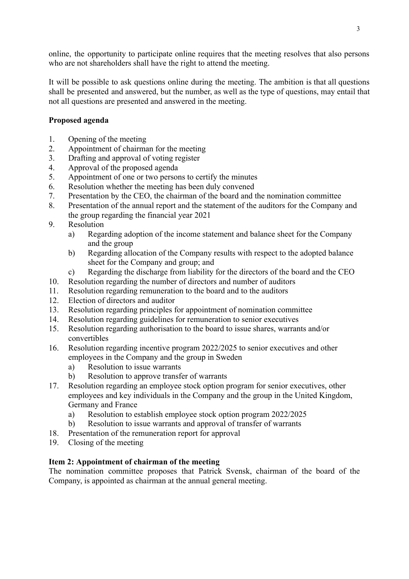online, the opportunity to participate online requires that the meeting resolves that also persons who are not shareholders shall have the right to attend the meeting.

It will be possible to ask questions online during the meeting. The ambition is that all questions shall be presented and answered, but the number, as well as the type of questions, may entail that not all questions are presented and answered in the meeting.

# **Proposed agenda**

- 1. Opening of the meeting
- 2. Appointment of chairman for the meeting
- 3. Drafting and approval of voting register
- 4. Approval of the proposed agenda
- 5. Appointment of one or two persons to certify the minutes
- 6. Resolution whether the meeting has been duly convened
- 7. Presentation by the CEO, the chairman of the board and the nomination committee
- 8. Presentation of the annual report and the statement of the auditors for the Company and the group regarding the financial year 2021
- 9. Resolution
	- a) Regarding adoption of the income statement and balance sheet for the Company and the group
	- b) Regarding allocation of the Company results with respect to the adopted balance sheet for the Company and group; and
	- c) Regarding the discharge from liability for the directors of the board and the CEO
- 10. Resolution regarding the number of directors and number of auditors
- 11. Resolution regarding remuneration to the board and to the auditors
- 12. Election of directors and auditor
- 13. Resolution regarding principles for appointment of nomination committee
- 14. Resolution regarding guidelines for remuneration to senior executives
- 15. Resolution regarding authorisation to the board to issue shares, warrants and/or convertibles
- 16. Resolution regarding incentive program 2022/2025 to senior executives and other employees in the Company and the group in Sweden
	- a) Resolution to issue warrants
	- b) Resolution to approve transfer of warrants
- 17. Resolution regarding an employee stock option program for senior executives, other employees and key individuals in the Company and the group in the United Kingdom, Germany and France
	- a) Resolution to establish employee stock option program 2022/2025
	- b) Resolution to issue warrants and approval of transfer of warrants
- 18. Presentation of the remuneration report for approval
- 19. Closing of the meeting

# **Item 2: Appointment of chairman of the meeting**

The nomination committee proposes that Patrick Svensk, chairman of the board of the Company, is appointed as chairman at the annual general meeting.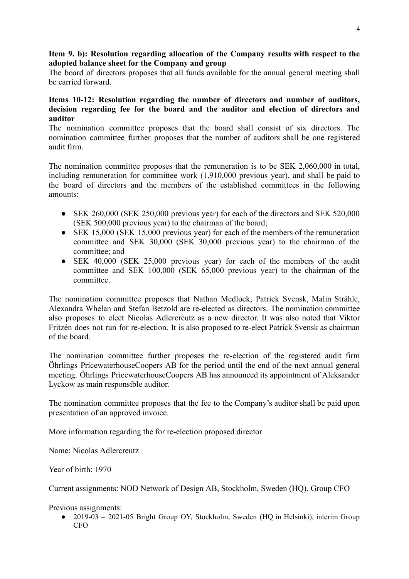### **Item 9. b): Resolution regarding allocation of the Company results with respect to the adopted balance sheet for the Company and group**

The board of directors proposes that all funds available for the annual general meeting shall be carried forward.

### **Items 10-12: Resolution regarding the number of directors and number of auditors, decision regarding fee for the board and the auditor and election of directors and auditor**

The nomination committee proposes that the board shall consist of six directors. The nomination committee further proposes that the number of auditors shall be one registered audit firm.

The nomination committee proposes that the remuneration is to be SEK 2,060,000 in total, including remuneration for committee work (1,910,000 previous year), and shall be paid to the board of directors and the members of the established committees in the following amounts:

- SEK 260,000 (SEK 250,000 previous year) for each of the directors and SEK 520,000 (SEK 500,000 previous year) to the chairman of the board;
- SEK 15,000 (SEK 15,000 previous year) for each of the members of the remuneration committee and SEK 30,000 (SEK 30,000 previous year) to the chairman of the committee; and
- SEK 40,000 (SEK 25,000 previous year) for each of the members of the audit committee and SEK 100,000 (SEK 65,000 previous year) to the chairman of the committee.

The nomination committee proposes that Nathan Medlock, Patrick Svensk, Malin Stråhle, Alexandra Whelan and Stefan Betzold are re-elected as directors. The nomination committee also proposes to elect Nicolas Adlercreutz as a new director. It was also noted that Viktor Fritzén does not run for re-election. It is also proposed to re-elect Patrick Svensk as chairman of the board.

The nomination committee further proposes the re-election of the registered audit firm Öhrlings PricewaterhouseCoopers AB for the period until the end of the next annual general meeting. Öhrlings PricewaterhouseCoopers AB has announced its appointment of Aleksander Lyckow as main responsible auditor.

The nomination committee proposes that the fee to the Company's auditor shall be paid upon presentation of an approved invoice.

More information regarding the for re-election proposed director

Name: Nicolas Adlercreutz

Year of birth: 1970

Current assignments: NOD Network of Design AB, Stockholm, Sweden (HQ). Group CFO

Previous assignments:

• 2019-03 – 2021-05 Bright Group OY, Stockholm, Sweden (HQ in Helsinki), interim Group CFO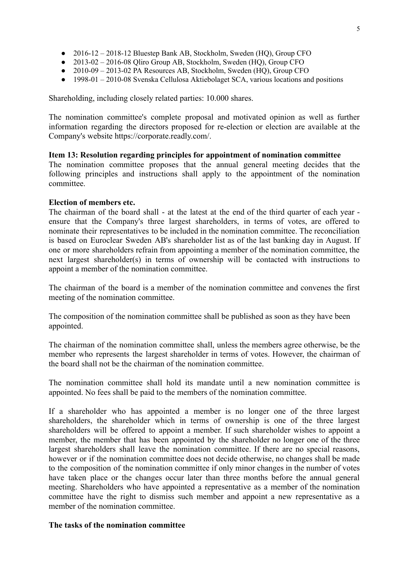- 2016-12 2018-12 Bluestep Bank AB, Stockholm, Sweden (HQ), Group CFO
- 2013-02 2016-08 Qliro Group AB, Stockholm, Sweden (HQ), Group CFO
- 2010-09 2013-02 PA Resources AB, Stockholm, Sweden (HQ), Group CFO
- 1998-01 2010-08 Svenska Cellulosa Aktiebolaget SCA, various locations and positions

Shareholding, including closely related parties: 10.000 shares.

The nomination committee's complete proposal and motivated opinion as well as further information regarding the directors proposed for re-election or election are available at the Company's website https://corporate.readly.com/.

### **Item 13: Resolution regarding principles for appointment of nomination committee**

The nomination committee proposes that the annual general meeting decides that the following principles and instructions shall apply to the appointment of the nomination committee.

### **Election of members etc.**

The chairman of the board shall - at the latest at the end of the third quarter of each year ensure that the Company's three largest shareholders, in terms of votes, are offered to nominate their representatives to be included in the nomination committee. The reconciliation is based on Euroclear Sweden AB's shareholder list as of the last banking day in August. If one or more shareholders refrain from appointing a member of the nomination committee, the next largest shareholder(s) in terms of ownership will be contacted with instructions to appoint a member of the nomination committee.

The chairman of the board is a member of the nomination committee and convenes the first meeting of the nomination committee.

The composition of the nomination committee shall be published as soon as they have been appointed.

The chairman of the nomination committee shall, unless the members agree otherwise, be the member who represents the largest shareholder in terms of votes. However, the chairman of the board shall not be the chairman of the nomination committee.

The nomination committee shall hold its mandate until a new nomination committee is appointed. No fees shall be paid to the members of the nomination committee.

If a shareholder who has appointed a member is no longer one of the three largest shareholders, the shareholder which in terms of ownership is one of the three largest shareholders will be offered to appoint a member. If such shareholder wishes to appoint a member, the member that has been appointed by the shareholder no longer one of the three largest shareholders shall leave the nomination committee. If there are no special reasons, however or if the nomination committee does not decide otherwise, no changes shall be made to the composition of the nomination committee if only minor changes in the number of votes have taken place or the changes occur later than three months before the annual general meeting. Shareholders who have appointed a representative as a member of the nomination committee have the right to dismiss such member and appoint a new representative as a member of the nomination committee.

#### **The tasks of the nomination committee**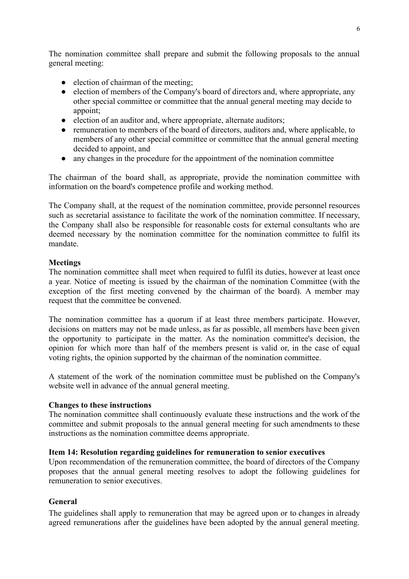The nomination committee shall prepare and submit the following proposals to the annual general meeting:

- election of chairman of the meeting;
- election of members of the Company's board of directors and, where appropriate, any other special committee or committee that the annual general meeting may decide to appoint;
- election of an auditor and, where appropriate, alternate auditors;
- remuneration to members of the board of directors, auditors and, where applicable, to members of any other special committee or committee that the annual general meeting decided to appoint, and
- any changes in the procedure for the appointment of the nomination committee

The chairman of the board shall, as appropriate, provide the nomination committee with information on the board's competence profile and working method.

The Company shall, at the request of the nomination committee, provide personnel resources such as secretarial assistance to facilitate the work of the nomination committee. If necessary, the Company shall also be responsible for reasonable costs for external consultants who are deemed necessary by the nomination committee for the nomination committee to fulfil its mandate.

### **Meetings**

The nomination committee shall meet when required to fulfil its duties, however at least once a year. Notice of meeting is issued by the chairman of the nomination Committee (with the exception of the first meeting convened by the chairman of the board). A member may request that the committee be convened.

The nomination committee has a quorum if at least three members participate. However, decisions on matters may not be made unless, as far as possible, all members have been given the opportunity to participate in the matter. As the nomination committee's decision, the opinion for which more than half of the members present is valid or, in the case of equal voting rights, the opinion supported by the chairman of the nomination committee.

A statement of the work of the nomination committee must be published on the Company's website well in advance of the annual general meeting.

### **Changes to these instructions**

The nomination committee shall continuously evaluate these instructions and the work of the committee and submit proposals to the annual general meeting for such amendments to these instructions as the nomination committee deems appropriate.

### **Item 14: Resolution regarding guidelines for remuneration to senior executives**

Upon recommendation of the remuneration committee, the board of directors of the Company proposes that the annual general meeting resolves to adopt the following guidelines for remuneration to senior executives.

# **General**

The guidelines shall apply to remuneration that may be agreed upon or to changes in already agreed remunerations after the guidelines have been adopted by the annual general meeting.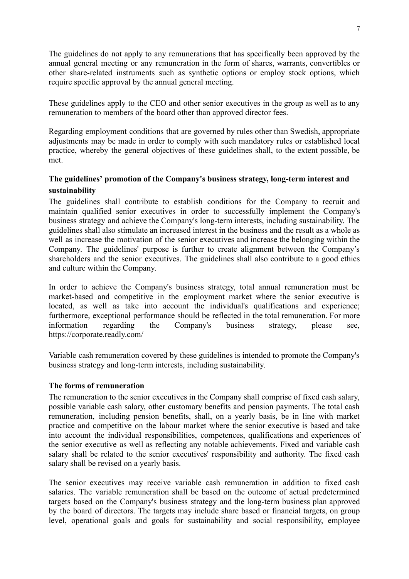The guidelines do not apply to any remunerations that has specifically been approved by the annual general meeting or any remuneration in the form of shares, warrants, convertibles or other share-related instruments such as synthetic options or employ stock options, which require specific approval by the annual general meeting.

These guidelines apply to the CEO and other senior executives in the group as well as to any remuneration to members of the board other than approved director fees.

Regarding employment conditions that are governed by rules other than Swedish, appropriate adjustments may be made in order to comply with such mandatory rules or established local practice, whereby the general objectives of these guidelines shall, to the extent possible, be met.

# **The guidelines' promotion of the Company's business strategy, long-term interest and sustainability**

The guidelines shall contribute to establish conditions for the Company to recruit and maintain qualified senior executives in order to successfully implement the Company's business strategy and achieve the Company's long-term interests, including sustainability. The guidelines shall also stimulate an increased interest in the business and the result as a whole as well as increase the motivation of the senior executives and increase the belonging within the Company. The guidelines' purpose is further to create alignment between the Company's shareholders and the senior executives. The guidelines shall also contribute to a good ethics and culture within the Company.

In order to achieve the Company's business strategy, total annual remuneration must be market-based and competitive in the employment market where the senior executive is located, as well as take into account the individual's qualifications and experience; furthermore, exceptional performance should be reflected in the total remuneration. For more information regarding the Company's business strategy, please see, https://corporate.readly.com/

Variable cash remuneration covered by these guidelines is intended to promote the Company's business strategy and long-term interests, including sustainability.

### **The forms of remuneration**

The remuneration to the senior executives in the Company shall comprise of fixed cash salary, possible variable cash salary, other customary benefits and pension payments. The total cash remuneration, including pension benefits, shall, on a yearly basis, be in line with market practice and competitive on the labour market where the senior executive is based and take into account the individual responsibilities, competences, qualifications and experiences of the senior executive as well as reflecting any notable achievements. Fixed and variable cash salary shall be related to the senior executives' responsibility and authority. The fixed cash salary shall be revised on a yearly basis.

The senior executives may receive variable cash remuneration in addition to fixed cash salaries. The variable remuneration shall be based on the outcome of actual predetermined targets based on the Company's business strategy and the long-term business plan approved by the board of directors. The targets may include share based or financial targets, on group level, operational goals and goals for sustainability and social responsibility, employee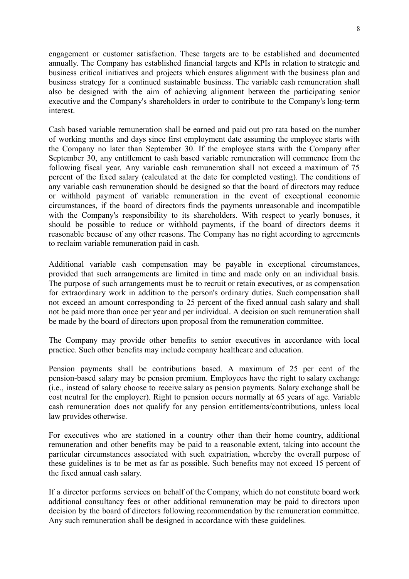engagement or customer satisfaction. These targets are to be established and documented annually. The Company has established financial targets and KPIs in relation to strategic and business critical initiatives and projects which ensures alignment with the business plan and business strategy for a continued sustainable business. The variable cash remuneration shall also be designed with the aim of achieving alignment between the participating senior executive and the Company's shareholders in order to contribute to the Company's long-term interest.

Cash based variable remuneration shall be earned and paid out pro rata based on the number of working months and days since first employment date assuming the employee starts with the Company no later than September 30. If the employee starts with the Company after September 30, any entitlement to cash based variable remuneration will commence from the following fiscal year. Any variable cash remuneration shall not exceed a maximum of 75 percent of the fixed salary (calculated at the date for completed vesting). The conditions of any variable cash remuneration should be designed so that the board of directors may reduce or withhold payment of variable remuneration in the event of exceptional economic circumstances, if the board of directors finds the payments unreasonable and incompatible with the Company's responsibility to its shareholders. With respect to yearly bonuses, it should be possible to reduce or withhold payments, if the board of directors deems it reasonable because of any other reasons. The Company has no right according to agreements to reclaim variable remuneration paid in cash.

Additional variable cash compensation may be payable in exceptional circumstances, provided that such arrangements are limited in time and made only on an individual basis. The purpose of such arrangements must be to recruit or retain executives, or as compensation for extraordinary work in addition to the person's ordinary duties. Such compensation shall not exceed an amount corresponding to 25 percent of the fixed annual cash salary and shall not be paid more than once per year and per individual. A decision on such remuneration shall be made by the board of directors upon proposal from the remuneration committee.

The Company may provide other benefits to senior executives in accordance with local practice. Such other benefits may include company healthcare and education.

Pension payments shall be contributions based. A maximum of 25 per cent of the pension-based salary may be pension premium. Employees have the right to salary exchange (i.e., instead of salary choose to receive salary as pension payments. Salary exchange shall be cost neutral for the employer). Right to pension occurs normally at 65 years of age. Variable cash remuneration does not qualify for any pension entitlements/contributions, unless local law provides otherwise.

For executives who are stationed in a country other than their home country, additional remuneration and other benefits may be paid to a reasonable extent, taking into account the particular circumstances associated with such expatriation, whereby the overall purpose of these guidelines is to be met as far as possible. Such benefits may not exceed 15 percent of the fixed annual cash salary.

If a director performs services on behalf of the Company, which do not constitute board work additional consultancy fees or other additional remuneration may be paid to directors upon decision by the board of directors following recommendation by the remuneration committee. Any such remuneration shall be designed in accordance with these guidelines.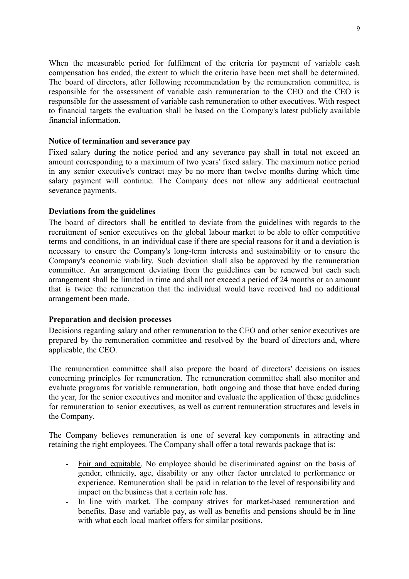When the measurable period for fulfilment of the criteria for payment of variable cash compensation has ended, the extent to which the criteria have been met shall be determined. The board of directors, after following recommendation by the remuneration committee, is responsible for the assessment of variable cash remuneration to the CEO and the CEO is responsible for the assessment of variable cash remuneration to other executives. With respect to financial targets the evaluation shall be based on the Company's latest publicly available financial information.

### **Notice of termination and severance pay**

Fixed salary during the notice period and any severance pay shall in total not exceed an amount corresponding to a maximum of two years' fixed salary. The maximum notice period in any senior executive's contract may be no more than twelve months during which time salary payment will continue. The Company does not allow any additional contractual severance payments.

## **Deviations from the guidelines**

The board of directors shall be entitled to deviate from the guidelines with regards to the recruitment of senior executives on the global labour market to be able to offer competitive terms and conditions, in an individual case if there are special reasons for it and a deviation is necessary to ensure the Company's long-term interests and sustainability or to ensure the Company's economic viability. Such deviation shall also be approved by the remuneration committee. An arrangement deviating from the guidelines can be renewed but each such arrangement shall be limited in time and shall not exceed a period of 24 months or an amount that is twice the remuneration that the individual would have received had no additional arrangement been made.

### **Preparation and decision processes**

Decisions regarding salary and other remuneration to the CEO and other senior executives are prepared by the remuneration committee and resolved by the board of directors and, where applicable, the CEO.

The remuneration committee shall also prepare the board of directors' decisions on issues concerning principles for remuneration. The remuneration committee shall also monitor and evaluate programs for variable remuneration, both ongoing and those that have ended during the year, for the senior executives and monitor and evaluate the application of these guidelines for remuneration to senior executives, as well as current remuneration structures and levels in the Company.

The Company believes remuneration is one of several key components in attracting and retaining the right employees. The Company shall offer a total rewards package that is:

- Fair and equitable. No employee should be discriminated against on the basis of gender, ethnicity, age, disability or any other factor unrelated to performance or experience. Remuneration shall be paid in relation to the level of responsibility and impact on the business that a certain role has.
- In line with market. The company strives for market-based remuneration and benefits. Base and variable pay, as well as benefits and pensions should be in line with what each local market offers for similar positions.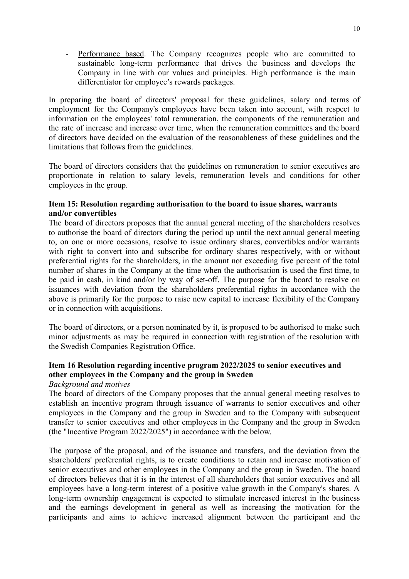Performance based. The Company recognizes people who are committed to sustainable long-term performance that drives the business and develops the Company in line with our values and principles. High performance is the main differentiator for employee's rewards packages.

In preparing the board of directors' proposal for these guidelines, salary and terms of employment for the Company's employees have been taken into account, with respect to information on the employees' total remuneration, the components of the remuneration and the rate of increase and increase over time, when the remuneration committees and the board of directors have decided on the evaluation of the reasonableness of these guidelines and the limitations that follows from the guidelines.

The board of directors considers that the guidelines on remuneration to senior executives are proportionate in relation to salary levels, remuneration levels and conditions for other employees in the group.

## **Item 15: Resolution regarding authorisation to the board to issue shares, warrants and/or convertibles**

The board of directors proposes that the annual general meeting of the shareholders resolves to authorise the board of directors during the period up until the next annual general meeting to, on one or more occasions, resolve to issue ordinary shares, convertibles and/or warrants with right to convert into and subscribe for ordinary shares respectively, with or without preferential rights for the shareholders, in the amount not exceeding five percent of the total number of shares in the Company at the time when the authorisation is used the first time, to be paid in cash, in kind and/or by way of set-off. The purpose for the board to resolve on issuances with deviation from the shareholders preferential rights in accordance with the above is primarily for the purpose to raise new capital to increase flexibility of the Company or in connection with acquisitions.

The board of directors, or a person nominated by it, is proposed to be authorised to make such minor adjustments as may be required in connection with registration of the resolution with the Swedish Companies Registration Office.

# **Item 16 Resolution regarding incentive program 2022/2025 to senior executives and other employees in the Company and the group in Sweden**

### *Background and motives*

The board of directors of the Company proposes that the annual general meeting resolves to establish an incentive program through issuance of warrants to senior executives and other employees in the Company and the group in Sweden and to the Company with subsequent transfer to senior executives and other employees in the Company and the group in Sweden (the "Incentive Program 2022/2025") in accordance with the below.

The purpose of the proposal, and of the issuance and transfers, and the deviation from the shareholders' preferential rights, is to create conditions to retain and increase motivation of senior executives and other employees in the Company and the group in Sweden. The board of directors believes that it is in the interest of all shareholders that senior executives and all employees have a long-term interest of a positive value growth in the Company's shares. A long-term ownership engagement is expected to stimulate increased interest in the business and the earnings development in general as well as increasing the motivation for the participants and aims to achieve increased alignment between the participant and the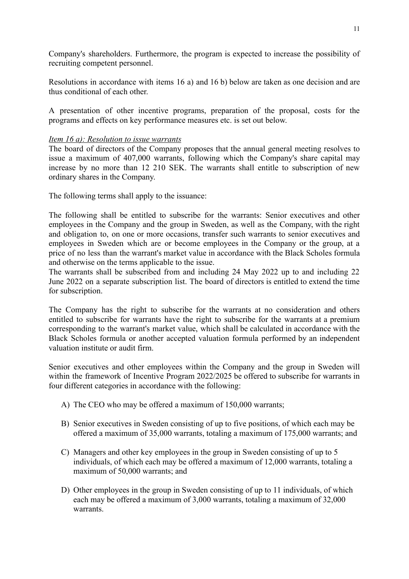Company's shareholders. Furthermore, the program is expected to increase the possibility of recruiting competent personnel.

Resolutions in accordance with items 16 a) and 16 b) below are taken as one decision and are thus conditional of each other.

A presentation of other incentive programs, preparation of the proposal, costs for the programs and effects on key performance measures etc. is set out below.

### *Item 16 a): Resolution to issue warrants*

The board of directors of the Company proposes that the annual general meeting resolves to issue a maximum of 407,000 warrants, following which the Company's share capital may increase by no more than 12 210 SEK. The warrants shall entitle to subscription of new ordinary shares in the Company.

The following terms shall apply to the issuance:

The following shall be entitled to subscribe for the warrants: Senior executives and other employees in the Company and the group in Sweden, as well as the Company, with the right and obligation to, on one or more occasions, transfer such warrants to senior executives and employees in Sweden which are or become employees in the Company or the group, at a price of no less than the warrant's market value in accordance with the Black Scholes formula and otherwise on the terms applicable to the issue.

The warrants shall be subscribed from and including 24 May 2022 up to and including 22 June 2022 on a separate subscription list. The board of directors is entitled to extend the time for subscription.

The Company has the right to subscribe for the warrants at no consideration and others entitled to subscribe for warrants have the right to subscribe for the warrants at a premium corresponding to the warrant's market value, which shall be calculated in accordance with the Black Scholes formula or another accepted valuation formula performed by an independent valuation institute or audit firm.

Senior executives and other employees within the Company and the group in Sweden will within the framework of Incentive Program 2022/2025 be offered to subscribe for warrants in four different categories in accordance with the following:

- A) The CEO who may be offered a maximum of 150,000 warrants;
- B) Senior executives in Sweden consisting of up to five positions, of which each may be offered a maximum of 35,000 warrants, totaling a maximum of 175,000 warrants; and
- C) Managers and other key employees in the group in Sweden consisting of up to 5 individuals, of which each may be offered a maximum of 12,000 warrants, totaling a maximum of 50,000 warrants; and
- D) Other employees in the group in Sweden consisting of up to 11 individuals, of which each may be offered a maximum of 3,000 warrants, totaling a maximum of 32,000 warrants.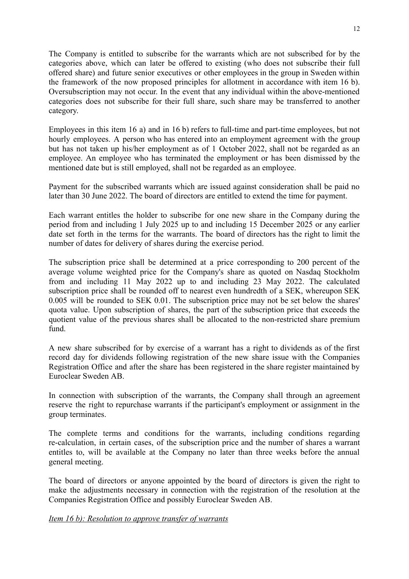The Company is entitled to subscribe for the warrants which are not subscribed for by the categories above, which can later be offered to existing (who does not subscribe their full offered share) and future senior executives or other employees in the group in Sweden within the framework of the now proposed principles for allotment in accordance with item 16 b). Oversubscription may not occur. In the event that any individual within the above-mentioned categories does not subscribe for their full share, such share may be transferred to another category.

Employees in this item 16 a) and in 16 b) refers to full-time and part-time employees, but not hourly employees. A person who has entered into an employment agreement with the group but has not taken up his/her employment as of 1 October 2022, shall not be regarded as an employee. An employee who has terminated the employment or has been dismissed by the mentioned date but is still employed, shall not be regarded as an employee.

Payment for the subscribed warrants which are issued against consideration shall be paid no later than 30 June 2022. The board of directors are entitled to extend the time for payment.

Each warrant entitles the holder to subscribe for one new share in the Company during the period from and including 1 July 2025 up to and including 15 December 2025 or any earlier date set forth in the terms for the warrants. The board of directors has the right to limit the number of dates for delivery of shares during the exercise period.

The subscription price shall be determined at a price corresponding to 200 percent of the average volume weighted price for the Company's share as quoted on Nasdaq Stockholm from and including 11 May 2022 up to and including 23 May 2022. The calculated subscription price shall be rounded off to nearest even hundredth of a SEK, whereupon SEK 0.005 will be rounded to SEK 0.01. The subscription price may not be set below the shares' quota value. Upon subscription of shares, the part of the subscription price that exceeds the quotient value of the previous shares shall be allocated to the non-restricted share premium fund.

A new share subscribed for by exercise of a warrant has a right to dividends as of the first record day for dividends following registration of the new share issue with the Companies Registration Office and after the share has been registered in the share register maintained by Euroclear Sweden AB.

In connection with subscription of the warrants, the Company shall through an agreement reserve the right to repurchase warrants if the participant's employment or assignment in the group terminates.

The complete terms and conditions for the warrants, including conditions regarding re-calculation, in certain cases, of the subscription price and the number of shares a warrant entitles to, will be available at the Company no later than three weeks before the annual general meeting.

The board of directors or anyone appointed by the board of directors is given the right to make the adjustments necessary in connection with the registration of the resolution at the Companies Registration Office and possibly Euroclear Sweden AB.

### *Item 16 b): Resolution to approve transfer of warrants*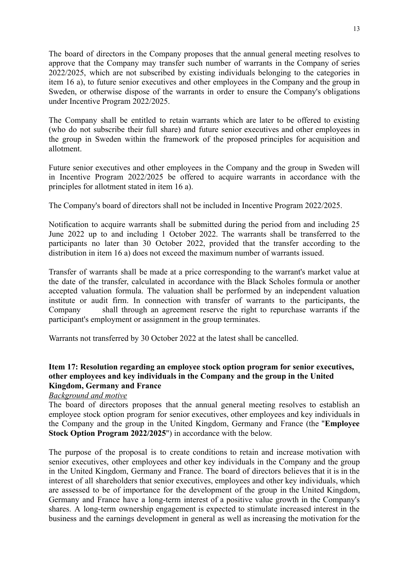The board of directors in the Company proposes that the annual general meeting resolves to approve that the Company may transfer such number of warrants in the Company of series 2022/2025, which are not subscribed by existing individuals belonging to the categories in item 16 a), to future senior executives and other employees in the Company and the group in Sweden, or otherwise dispose of the warrants in order to ensure the Company's obligations under Incentive Program 2022/2025.

The Company shall be entitled to retain warrants which are later to be offered to existing (who do not subscribe their full share) and future senior executives and other employees in the group in Sweden within the framework of the proposed principles for acquisition and allotment.

Future senior executives and other employees in the Company and the group in Sweden will in Incentive Program 2022/2025 be offered to acquire warrants in accordance with the principles for allotment stated in item 16 a).

The Company's board of directors shall not be included in Incentive Program 2022/2025.

Notification to acquire warrants shall be submitted during the period from and including 25 June 2022 up to and including 1 October 2022. The warrants shall be transferred to the participants no later than 30 October 2022, provided that the transfer according to the distribution in item 16 a) does not exceed the maximum number of warrants issued.

Transfer of warrants shall be made at a price corresponding to the warrant's market value at the date of the transfer, calculated in accordance with the Black Scholes formula or another accepted valuation formula. The valuation shall be performed by an independent valuation institute or audit firm. In connection with transfer of warrants to the participants, the Company shall through an agreement reserve the right to repurchase warrants if the participant's employment or assignment in the group terminates.

Warrants not transferred by 30 October 2022 at the latest shall be cancelled.

### **Item 17: Resolution regarding an employee stock option program for senior executives, other employees and key individuals in the Company and the group in the United Kingdom, Germany and France**

### *Background and motive*

The board of directors proposes that the annual general meeting resolves to establish an employee stock option program for senior executives, other employees and key individuals in the Company and the group in the United Kingdom, Germany and France (the "**Employee Stock Option Program 2022/2025**") in accordance with the below.

The purpose of the proposal is to create conditions to retain and increase motivation with senior executives, other employees and other key individuals in the Company and the group in the United Kingdom, Germany and France. The board of directors believes that it is in the interest of all shareholders that senior executives, employees and other key individuals, which are assessed to be of importance for the development of the group in the United Kingdom, Germany and France have a long-term interest of a positive value growth in the Company's shares. A long-term ownership engagement is expected to stimulate increased interest in the business and the earnings development in general as well as increasing the motivation for the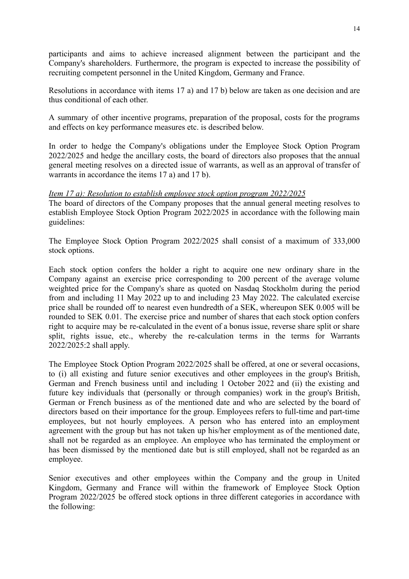participants and aims to achieve increased alignment between the participant and the Company's shareholders. Furthermore, the program is expected to increase the possibility of recruiting competent personnel in the United Kingdom, Germany and France.

Resolutions in accordance with items 17 a) and 17 b) below are taken as one decision and are thus conditional of each other.

A summary of other incentive programs, preparation of the proposal, costs for the programs and effects on key performance measures etc. is described below.

In order to hedge the Company's obligations under the Employee Stock Option Program 2022/2025 and hedge the ancillary costs, the board of directors also proposes that the annual general meeting resolves on a directed issue of warrants, as well as an approval of transfer of warrants in accordance the items 17 a) and 17 b).

*Item 17 a): Resolution to establish employee stock option program 2022/2025* The board of directors of the Company proposes that the annual general meeting resolves to establish Employee Stock Option Program 2022/2025 in accordance with the following main guidelines:

The Employee Stock Option Program 2022/2025 shall consist of a maximum of 333,000 stock options.

Each stock option confers the holder a right to acquire one new ordinary share in the Company against an exercise price corresponding to 200 percent of the average volume weighted price for the Company's share as quoted on Nasdaq Stockholm during the period from and including 11 May 2022 up to and including 23 May 2022. The calculated exercise price shall be rounded off to nearest even hundredth of a SEK, whereupon SEK 0.005 will be rounded to SEK 0.01. The exercise price and number of shares that each stock option confers right to acquire may be re-calculated in the event of a bonus issue, reverse share split or share split, rights issue, etc., whereby the re-calculation terms in the terms for Warrants 2022/2025:2 shall apply.

The Employee Stock Option Program 2022/2025 shall be offered, at one or several occasions, to (i) all existing and future senior executives and other employees in the group's British, German and French business until and including 1 October 2022 and (ii) the existing and future key individuals that (personally or through companies) work in the group's British, German or French business as of the mentioned date and who are selected by the board of directors based on their importance for the group. Employees refers to full-time and part-time employees, but not hourly employees. A person who has entered into an employment agreement with the group but has not taken up his/her employment as of the mentioned date, shall not be regarded as an employee. An employee who has terminated the employment or has been dismissed by the mentioned date but is still employed, shall not be regarded as an employee.

Senior executives and other employees within the Company and the group in United Kingdom, Germany and France will within the framework of Employee Stock Option Program 2022/2025 be offered stock options in three different categories in accordance with the following: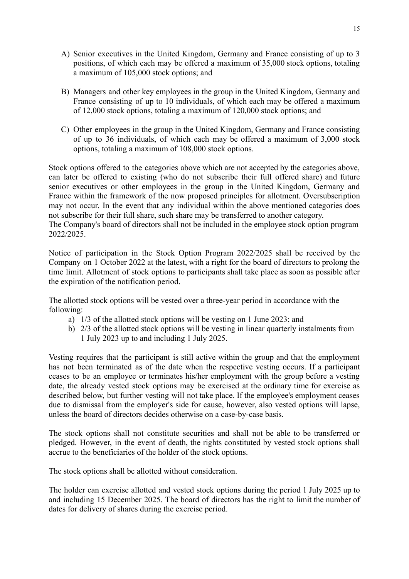- A) Senior executives in the United Kingdom, Germany and France consisting of up to 3 positions, of which each may be offered a maximum of 35,000 stock options, totaling a maximum of 105,000 stock options; and
- B) Managers and other key employees in the group in the United Kingdom, Germany and France consisting of up to 10 individuals, of which each may be offered a maximum of 12,000 stock options, totaling a maximum of 120,000 stock options; and
- C) Other employees in the group in the United Kingdom, Germany and France consisting of up to 36 individuals, of which each may be offered a maximum of 3,000 stock options, totaling a maximum of 108,000 stock options.

Stock options offered to the categories above which are not accepted by the categories above, can later be offered to existing (who do not subscribe their full offered share) and future senior executives or other employees in the group in the United Kingdom, Germany and France within the framework of the now proposed principles for allotment. Oversubscription may not occur. In the event that any individual within the above mentioned categories does not subscribe for their full share, such share may be transferred to another category.

The Company's board of directors shall not be included in the employee stock option program 2022/2025.

Notice of participation in the Stock Option Program 2022/2025 shall be received by the Company on 1 October 2022 at the latest, with a right for the board of directors to prolong the time limit. Allotment of stock options to participants shall take place as soon as possible after the expiration of the notification period.

The allotted stock options will be vested over a three-year period in accordance with the following:

- a) 1/3 of the allotted stock options will be vesting on 1 June 2023; and
- b) 2/3 of the allotted stock options will be vesting in linear quarterly instalments from 1 July 2023 up to and including 1 July 2025.

Vesting requires that the participant is still active within the group and that the employment has not been terminated as of the date when the respective vesting occurs. If a participant ceases to be an employee or terminates his/her employment with the group before a vesting date, the already vested stock options may be exercised at the ordinary time for exercise as described below, but further vesting will not take place. If the employee's employment ceases due to dismissal from the employer's side for cause, however, also vested options will lapse, unless the board of directors decides otherwise on a case-by-case basis.

The stock options shall not constitute securities and shall not be able to be transferred or pledged. However, in the event of death, the rights constituted by vested stock options shall accrue to the beneficiaries of the holder of the stock options.

The stock options shall be allotted without consideration.

The holder can exercise allotted and vested stock options during the period 1 July 2025 up to and including 15 December 2025. The board of directors has the right to limit the number of dates for delivery of shares during the exercise period.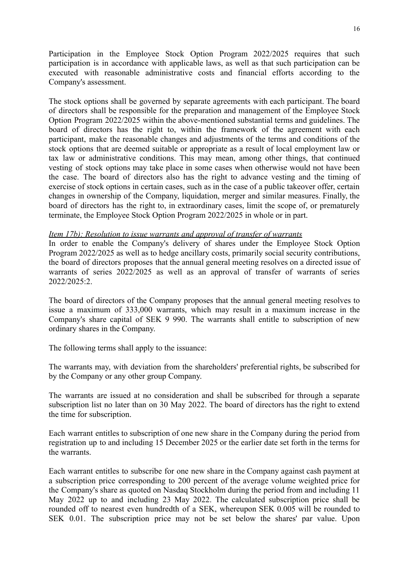Participation in the Employee Stock Option Program 2022/2025 requires that such participation is in accordance with applicable laws, as well as that such participation can be executed with reasonable administrative costs and financial efforts according to the Company's assessment.

The stock options shall be governed by separate agreements with each participant. The board of directors shall be responsible for the preparation and management of the Employee Stock Option Program 2022/2025 within the above-mentioned substantial terms and guidelines. The board of directors has the right to, within the framework of the agreement with each participant, make the reasonable changes and adjustments of the terms and conditions of the stock options that are deemed suitable or appropriate as a result of local employment law or tax law or administrative conditions. This may mean, among other things, that continued vesting of stock options may take place in some cases when otherwise would not have been the case. The board of directors also has the right to advance vesting and the timing of exercise of stock options in certain cases, such as in the case of a public takeover offer, certain changes in ownership of the Company, liquidation, merger and similar measures. Finally, the board of directors has the right to, in extraordinary cases, limit the scope of, or prematurely terminate, the Employee Stock Option Program 2022/2025 in whole or in part.

### *Item 17b): Resolution to issue warrants and approval of transfer of warrants*

In order to enable the Company's delivery of shares under the Employee Stock Option Program 2022/2025 as well as to hedge ancillary costs, primarily social security contributions, the board of directors proposes that the annual general meeting resolves on a directed issue of warrants of series 2022/2025 as well as an approval of transfer of warrants of series 2022/2025:2.

The board of directors of the Company proposes that the annual general meeting resolves to issue a maximum of 333,000 warrants, which may result in a maximum increase in the Company's share capital of SEK 9 990. The warrants shall entitle to subscription of new ordinary shares in the Company.

The following terms shall apply to the issuance:

The warrants may, with deviation from the shareholders' preferential rights, be subscribed for by the Company or any other group Company.

The warrants are issued at no consideration and shall be subscribed for through a separate subscription list no later than on 30 May 2022. The board of directors has the right to extend the time for subscription.

Each warrant entitles to subscription of one new share in the Company during the period from registration up to and including 15 December 2025 or the earlier date set forth in the terms for the warrants.

Each warrant entitles to subscribe for one new share in the Company against cash payment at a subscription price corresponding to 200 percent of the average volume weighted price for the Company's share as quoted on Nasdaq Stockholm during the period from and including 11 May 2022 up to and including 23 May 2022. The calculated subscription price shall be rounded off to nearest even hundredth of a SEK, whereupon SEK 0.005 will be rounded to SEK 0.01. The subscription price may not be set below the shares' par value. Upon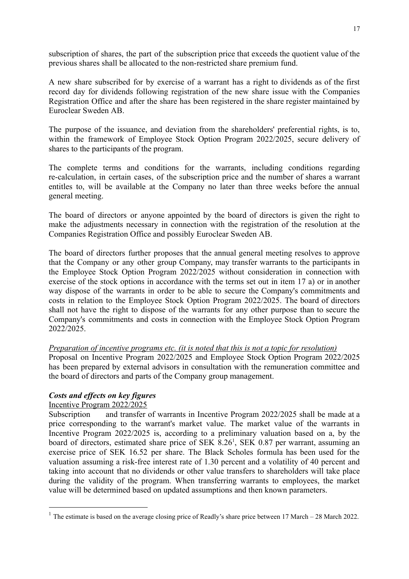subscription of shares, the part of the subscription price that exceeds the quotient value of the previous shares shall be allocated to the non-restricted share premium fund.

A new share subscribed for by exercise of a warrant has a right to dividends as of the first record day for dividends following registration of the new share issue with the Companies Registration Office and after the share has been registered in the share register maintained by Euroclear Sweden AB.

The purpose of the issuance, and deviation from the shareholders' preferential rights, is to, within the framework of Employee Stock Option Program 2022/2025, secure delivery of shares to the participants of the program.

The complete terms and conditions for the warrants, including conditions regarding re-calculation, in certain cases, of the subscription price and the number of shares a warrant entitles to, will be available at the Company no later than three weeks before the annual general meeting.

The board of directors or anyone appointed by the board of directors is given the right to make the adjustments necessary in connection with the registration of the resolution at the Companies Registration Office and possibly Euroclear Sweden AB.

The board of directors further proposes that the annual general meeting resolves to approve that the Company or any other group Company, may transfer warrants to the participants in the Employee Stock Option Program 2022/2025 without consideration in connection with exercise of the stock options in accordance with the terms set out in item 17 a) or in another way dispose of the warrants in order to be able to secure the Company's commitments and costs in relation to the Employee Stock Option Program 2022/2025. The board of directors shall not have the right to dispose of the warrants for any other purpose than to secure the Company's commitments and costs in connection with the Employee Stock Option Program 2022/2025.

### *Preparation of incentive programs etc. (it is noted that this is not a topic for resolution)*

Proposal on Incentive Program 2022/2025 and Employee Stock Option Program 2022/2025 has been prepared by external advisors in consultation with the remuneration committee and the board of directors and parts of the Company group management.

# *Costs and effects on key figures*

## Incentive Program 2022/2025

Subscription and transfer of warrants in Incentive Program 2022/2025 shall be made at a price corresponding to the warrant's market value. The market value of the warrants in Incentive Program 2022/2025 is, according to a preliminary valuation based on a, by the board of directors, estimated share price of SEK 8.26<sup>1</sup>, SEK 0.87 per warrant, assuming an exercise price of SEK 16.52 per share. The Black Scholes formula has been used for the valuation assuming a risk-free interest rate of 1.30 percent and a volatility of 40 percent and taking into account that no dividends or other value transfers to shareholders will take place during the validity of the program. When transferring warrants to employees, the market value will be determined based on updated assumptions and then known parameters.

<sup>&</sup>lt;sup>1</sup> The estimate is based on the average closing price of Readly's share price between 17 March – 28 March 2022.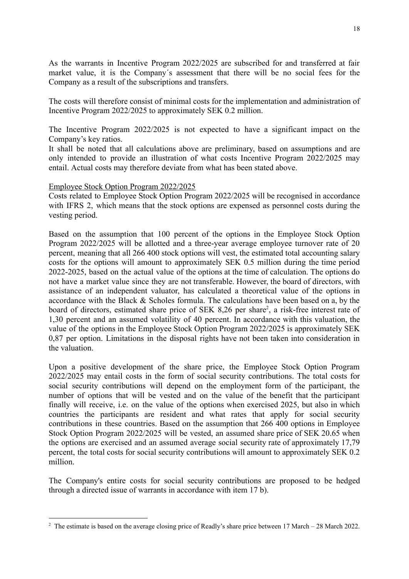As the warrants in Incentive Program 2022/2025 are subscribed for and transferred at fair market value, it is the Company´s assessment that there will be no social fees for the Company as a result of the subscriptions and transfers.

The costs will therefore consist of minimal costs for the implementation and administration of Incentive Program 2022/2025 to approximately SEK 0.2 million.

The Incentive Program 2022/2025 is not expected to have a significant impact on the Company's key ratios.

It shall be noted that all calculations above are preliminary, based on assumptions and are only intended to provide an illustration of what costs Incentive Program 2022/2025 may entail. Actual costs may therefore deviate from what has been stated above.

### Employee Stock Option Program 2022/2025

Costs related to Employee Stock Option Program 2022/2025 will be recognised in accordance with IFRS 2, which means that the stock options are expensed as personnel costs during the vesting period.

Based on the assumption that 100 percent of the options in the Employee Stock Option Program 2022/2025 will be allotted and a three-year average employee turnover rate of 20 percent, meaning that all 266 400 stock options will vest, the estimated total accounting salary costs for the options will amount to approximately SEK 0.5 million during the time period 2022-2025, based on the actual value of the options at the time of calculation. The options do not have a market value since they are not transferable. However, the board of directors, with assistance of an independent valuator, has calculated a theoretical value of the options in accordance with the Black & Scholes formula. The calculations have been based on a, by the board of directors, estimated share price of SEK 8,26 per share<sup>2</sup>, a risk-free interest rate of 1,30 percent and an assumed volatility of 40 percent. In accordance with this valuation, the value of the options in the Employee Stock Option Program 2022/2025 is approximately SEK 0,87 per option. Limitations in the disposal rights have not been taken into consideration in the valuation.

Upon a positive development of the share price, the Employee Stock Option Program 2022/2025 may entail costs in the form of social security contributions. The total costs for social security contributions will depend on the employment form of the participant, the number of options that will be vested and on the value of the benefit that the participant finally will receive, i.e. on the value of the options when exercised 2025, but also in which countries the participants are resident and what rates that apply for social security contributions in these countries. Based on the assumption that 266 400 options in Employee Stock Option Program 2022/2025 will be vested, an assumed share price of SEK 20.65 when the options are exercised and an assumed average social security rate of approximately 17,79 percent, the total costs for social security contributions will amount to approximately SEK 0.2 million.

The Company's entire costs for social security contributions are proposed to be hedged through a directed issue of warrants in accordance with item 17 b).

<sup>&</sup>lt;sup>2</sup> The estimate is based on the average closing price of Readly's share price between 17 March – 28 March 2022.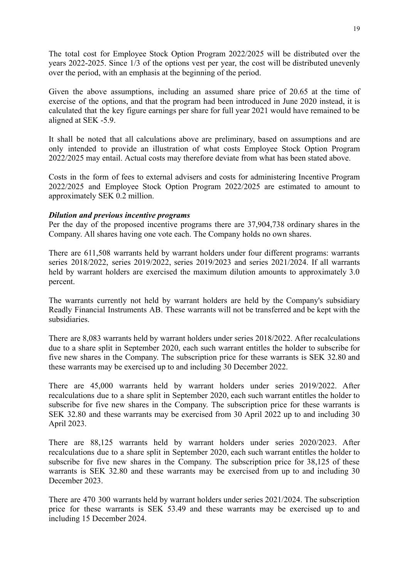The total cost for Employee Stock Option Program 2022/2025 will be distributed over the years 2022-2025. Since 1/3 of the options vest per year, the cost will be distributed unevenly over the period, with an emphasis at the beginning of the period.

Given the above assumptions, including an assumed share price of 20.65 at the time of exercise of the options, and that the program had been introduced in June 2020 instead, it is calculated that the key figure earnings per share for full year 2021 would have remained to be aligned at SEK -5.9.

It shall be noted that all calculations above are preliminary, based on assumptions and are only intended to provide an illustration of what costs Employee Stock Option Program 2022/2025 may entail. Actual costs may therefore deviate from what has been stated above.

Costs in the form of fees to external advisers and costs for administering Incentive Program 2022/2025 and Employee Stock Option Program 2022/2025 are estimated to amount to approximately SEK 0.2 million.

### *Dilution and previous incentive programs*

Per the day of the proposed incentive programs there are 37,904,738 ordinary shares in the Company. All shares having one vote each. The Company holds no own shares.

There are 611,508 warrants held by warrant holders under four different programs: warrants series 2018/2022, series 2019/2022, series 2019/2023 and series 2021/2024. If all warrants held by warrant holders are exercised the maximum dilution amounts to approximately 3.0 percent.

The warrants currently not held by warrant holders are held by the Company's subsidiary Readly Financial Instruments AB. These warrants will not be transferred and be kept with the subsidiaries.

There are 8,083 warrants held by warrant holders under series 2018/2022. After recalculations due to a share split in September 2020, each such warrant entitles the holder to subscribe for five new shares in the Company. The subscription price for these warrants is SEK 32.80 and these warrants may be exercised up to and including 30 December 2022.

There are 45,000 warrants held by warrant holders under series 2019/2022. After recalculations due to a share split in September 2020, each such warrant entitles the holder to subscribe for five new shares in the Company. The subscription price for these warrants is SEK 32.80 and these warrants may be exercised from 30 April 2022 up to and including 30 April 2023.

There are 88,125 warrants held by warrant holders under series 2020/2023. After recalculations due to a share split in September 2020, each such warrant entitles the holder to subscribe for five new shares in the Company. The subscription price for 38,125 of these warrants is SEK 32.80 and these warrants may be exercised from up to and including 30 December 2023.

There are 470 300 warrants held by warrant holders under series 2021/2024. The subscription price for these warrants is SEK 53.49 and these warrants may be exercised up to and including 15 December 2024.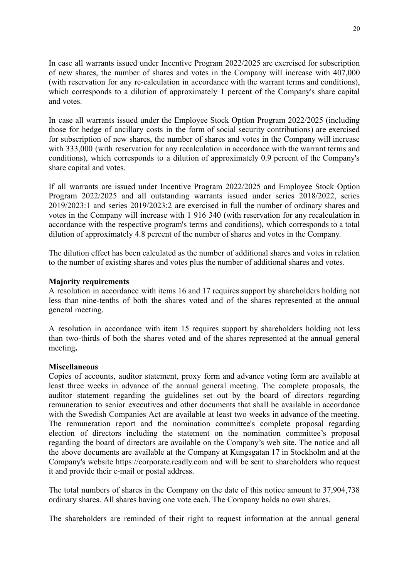In case all warrants issued under Incentive Program 2022/2025 are exercised for subscription of new shares, the number of shares and votes in the Company will increase with 407,000 (with reservation for any re-calculation in accordance with the warrant terms and conditions), which corresponds to a dilution of approximately 1 percent of the Company's share capital and votes.

In case all warrants issued under the Employee Stock Option Program 2022/2025 (including those for hedge of ancillary costs in the form of social security contributions) are exercised for subscription of new shares, the number of shares and votes in the Company will increase with 333,000 (with reservation for any recalculation in accordance with the warrant terms and conditions), which corresponds to a dilution of approximately 0.9 percent of the Company's share capital and votes.

If all warrants are issued under Incentive Program 2022/2025 and Employee Stock Option Program 2022/2025 and all outstanding warrants issued under series 2018/2022, series 2019/2023:1 and series 2019/2023:2 are exercised in full the number of ordinary shares and votes in the Company will increase with 1 916 340 (with reservation for any recalculation in accordance with the respective program's terms and conditions), which corresponds to a total dilution of approximately 4.8 percent of the number of shares and votes in the Company.

The dilution effect has been calculated as the number of additional shares and votes in relation to the number of existing shares and votes plus the number of additional shares and votes.

#### **Majority requirements**

A resolution in accordance with items 16 and 17 requires support by shareholders holding not less than nine-tenths of both the shares voted and of the shares represented at the annual general meeting.

A resolution in accordance with item 15 requires support by shareholders holding not less than two-thirds of both the shares voted and of the shares represented at the annual general meeting**.**

#### **Miscellaneous**

Copies of accounts, auditor statement, proxy form and advance voting form are available at least three weeks in advance of the annual general meeting. The complete proposals, the auditor statement regarding the guidelines set out by the board of directors regarding remuneration to senior executives and other documents that shall be available in accordance with the Swedish Companies Act are available at least two weeks in advance of the meeting. The remuneration report and the nomination committee's complete proposal regarding election of directors including the statement on the nomination committee's proposal regarding the board of directors are available on the Company's web site. The notice and all the above documents are available at the Company at Kungsgatan 17 in Stockholm and at the Company's website https://corporate.readly.com and will be sent to shareholders who request it and provide their e-mail or postal address.

The total numbers of shares in the Company on the date of this notice amount to 37,904,738 ordinary shares. All shares having one vote each. The Company holds no own shares.

The shareholders are reminded of their right to request information at the annual general